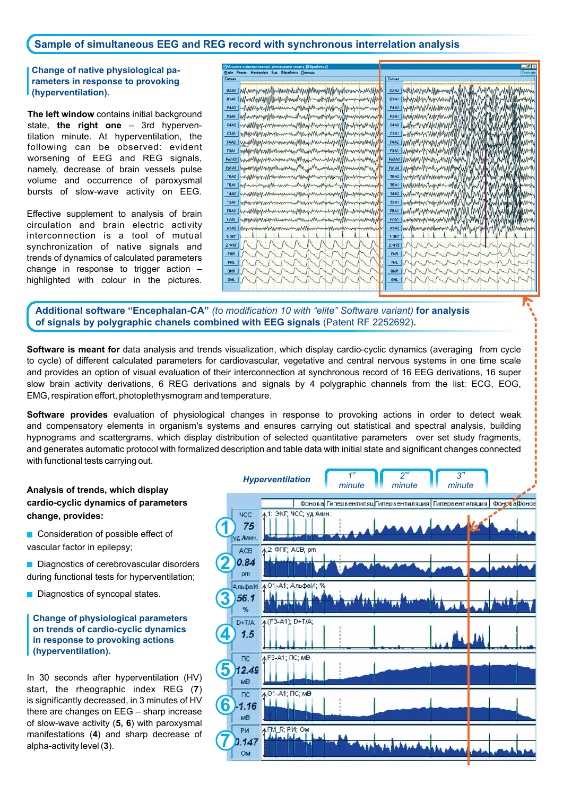## *([HPSOHG HQUHJLVWUHPHQW***simultané d'EEG et REG avec analyse synchronisée de corrélation**

Modification de paramètres **physiologiques en réponse** une activation d'EEG  **(hyperpnée).**

affiche l'EEG de repos et celle de droite affiche la 3ème minute d'yperpnée. Durant l'hyperpnée, on peut observer ce qui suit: aggravation évidente des signaux EEG et REG, et dimunition de l'amplitude du volume du pouls des vaisseaux accompagné d'activité paroxystique à ondes lentes sur l'EEG .

 En complément à l'analyse simultanée de la circulation sanguine et l'activité électrique du cerveaun, un outil est disponible pour l'analyse de synchronization des signaux natifs avec le changement dynamique des paramètres calculés en réponse à un test d'activation (Voir image encadrée.)



| Curvan     | Спернить                           |
|------------|------------------------------------|
|            |                                    |
|            | 02A2 William Washington Was        |
|            | OTAL AMMANALITY MANAGEMENT         |
|            | P4A2 WAMMWW<br>MANAN               |
|            | P3A1 NeWENWWWGWAMWWW               |
|            | CAAZ WWWWWWWWWW                    |
|            | C3A1 WWWWWWWWW                     |
|            | FAAZ IWWWWWWWWWWW                  |
|            | F3A1 WWWWWWWWW                     |
|            | FOZAZ WWWWWWWWWWWW                 |
|            |                                    |
|            | FOTAT MAYMAN<br>minternation       |
|            | TEAZ WAGONYWWWWWWWW<br>Www.        |
|            | ISAI MWWWWIWMW                     |
|            | T442 Why MyWWWWW<br>WWW<br>IN      |
|            | T3AI whenhavement was<br>'N<br>Wyl |
|            | FBAZ WWWWWWWWWWWWWWWWWWWW          |
|            | FZAI www.www.hallwww.ww            |
|            | ATAZ WAYAMANMANAJAMANA AMANAJAMA   |
| 1:3KT      |                                    |
| $2$ $P0$   |                                    |
| <b>FMR</b> |                                    |
| <b>FML</b> |                                    |
| <b>OMR</b> |                                    |
| OMI        |                                    |

/ogiciel supplémentaire **"Encephalan-CA"** *(modification 10 version "Elite" seulement)* **Pour l'analyse des voies polygraphiques combinées avec les signaux EEG** (Brevet: RF 2252692)**.**

**Software is meant for** data analysis and trends visualization, which display cardio-cyclic dynamics (averaging from cycle to cycle) of different calculated parameters for cardiovascular, vegetative and central nervous systems in one time scale and provides an option of visual evaluation of their interconnection at synchronous record of 16 EEG derivations, 16 super slow brain activity derivations, 6 REG derivations and signals by 4 polygraphic channels from the list: ECG, EOG, EMG, respiration effort, photoplethysmogram and temperature.

**Software provides** evaluation of physiological changes in response to provoking actions in order to detect weak and compensatory elements in organism's systems and ensures carrying out statistical and spectral analysis, building hypnograms and scattergrams, which display distribution of selected quantitative parameters over set study fragments, and generates automatic protocol with formalized description and table data with initial state and significant changes connected with functional tests carrying out.

## **Analysis of trends, which display cardio-cyclic dynamics of parameters change, provides:**

- Consideration of possible effect of vascular factor in epilepsy;
- Diagnostics of cerebrovascular disorders during functional tests for hyperventilation;
- Diagnostics of syncopal states.

## **Change of physiological parameters on trends of cardio-cyclic dynamics in response to provoking actions (hyperventilation).**

In 30 seconds after hyperventilation (HV) start, the rheographic index REG (**7**) is significantly decreased, in 3 minutes of HV there are changes on EEG – sharp increase of slow-wave activity (**5, 6**) with paroxysmal manifestations (**4**) and sharp decrease of alpha-activity level (**3**).